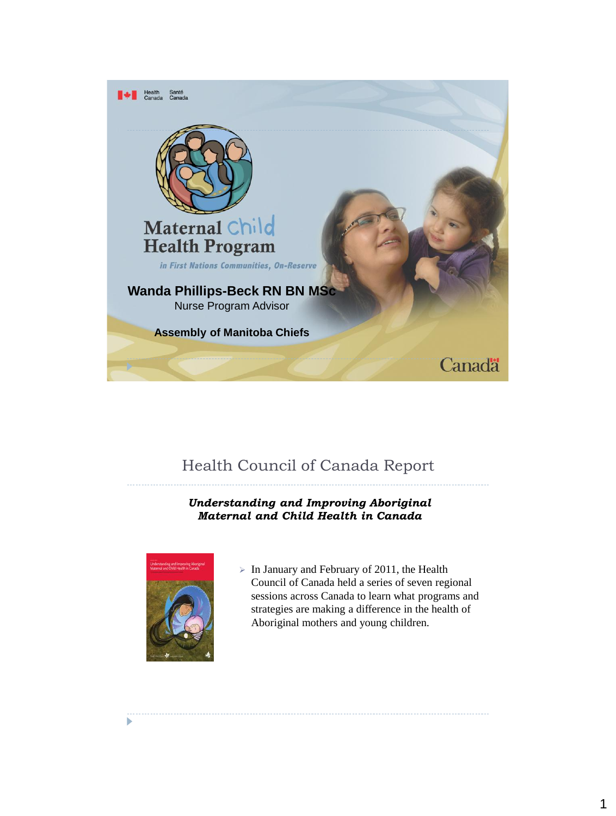

# Health Council of Canada Report

#### *Understanding and Improving Aboriginal Maternal and Child Health in Canada*



 $\triangleright$  In January and February of 2011, the Health Council of Canada held a series of seven regional sessions across Canada to learn what programs and strategies are making a difference in the health of Aboriginal mothers and young children.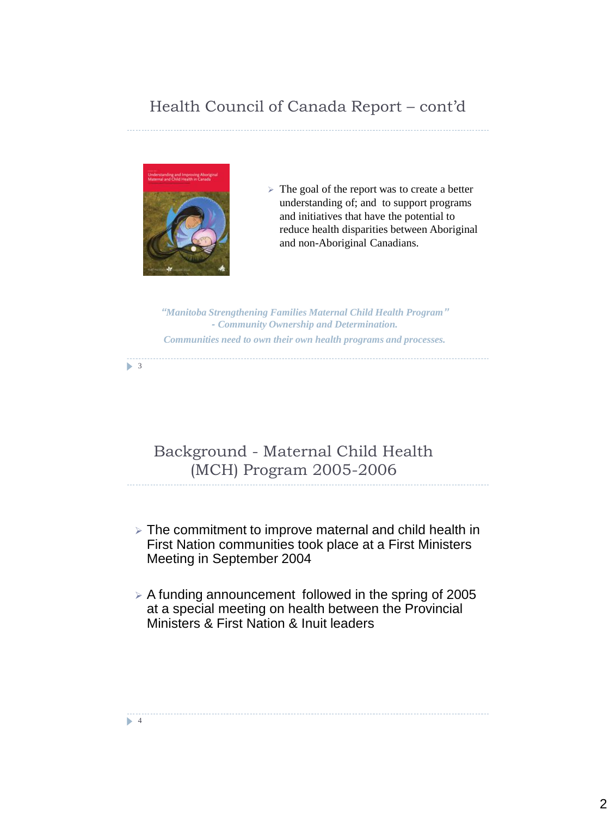# Health Council of Canada Report – cont'd



 $\triangleright$  The goal of the report was to create a better understanding of; and to support programs and initiatives that have the potential to reduce health disparities between Aboriginal and non-Aboriginal Canadians.

*"Manitoba Strengthening Families Maternal Child Health Program" - Community Ownership and Determination. Communities need to own their own health programs and processes.* 

 $\triangleright$  3

# Background - Maternal Child Health (MCH) Program 2005-2006

- $\ge$  The commitment to improve maternal and child health in First Nation communities took place at a First Ministers Meeting in September 2004
- $\geq$  A funding announcement followed in the spring of 2005 at a special meeting on health between the Provincial Ministers & First Nation & Inuit leaders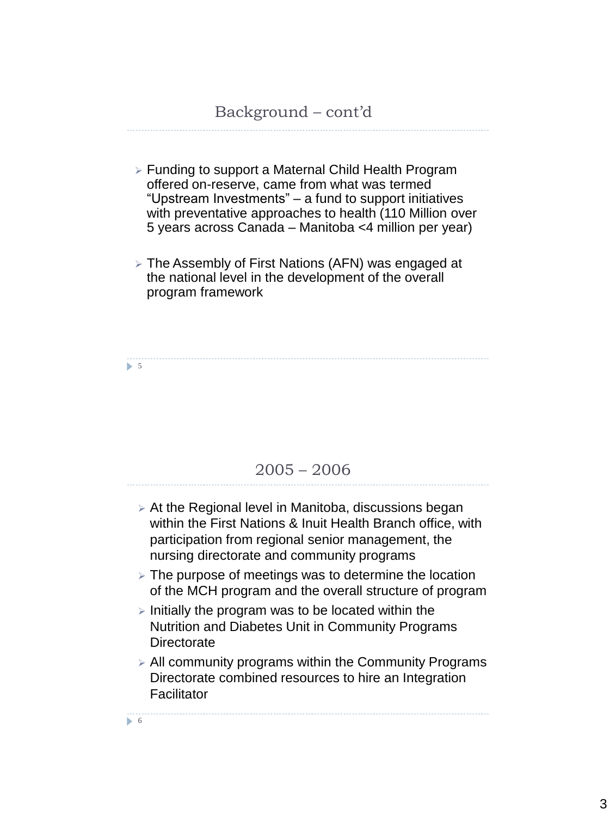- Funding to support a Maternal Child Health Program offered on-reserve, came from what was termed "Upstream Investments" – a fund to support initiatives with preventative approaches to health (110 Million over 5 years across Canada – Manitoba <4 million per year)
- The Assembly of First Nations (AFN) was engaged at the national level in the development of the overall program framework

 $5<sub>5</sub>$ 

#### 2005 – 2006

- $\triangleright$  At the Regional level in Manitoba, discussions began within the First Nations & Inuit Health Branch office, with participation from regional senior management, the nursing directorate and community programs
- $\triangleright$  The purpose of meetings was to determine the location of the MCH program and the overall structure of program
- $\triangleright$  Initially the program was to be located within the Nutrition and Diabetes Unit in Community Programs **Directorate**
- $\geq$  All community programs within the Community Programs Directorate combined resources to hire an Integration **Facilitator**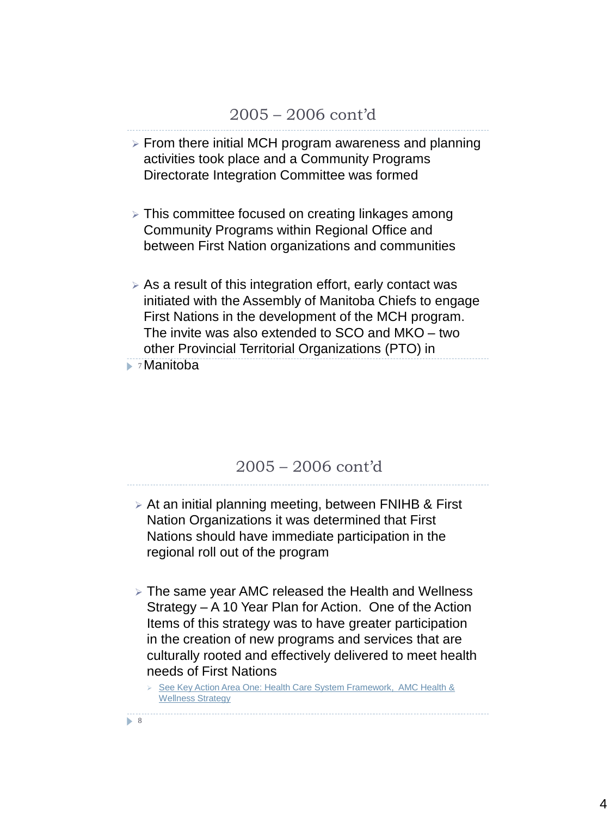- $\triangleright$  From there initial MCH program awareness and planning activities took place and a Community Programs Directorate Integration Committee was formed
- This committee focused on creating linkages among Community Programs within Regional Office and between First Nation organizations and communities
- $\triangleright$  As a result of this integration effort, early contact was initiated with the Assembly of Manitoba Chiefs to engage First Nations in the development of the MCH program. The invite was also extended to SCO and MKO – two other Provincial Territorial Organizations (PTO) in

7 Manitoba

#### 2005 – 2006 cont'd

- At an initial planning meeting, between FNIHB & First Nation Organizations it was determined that First Nations should have immediate participation in the regional roll out of the program
- The same year AMC released the Health and Wellness Strategy – A 10 Year Plan for Action. One of the Action Items of this strategy was to have greater participation in the creation of new programs and services that are culturally rooted and effectively delivered to meet health needs of First Nations

 See Key Action Area One: Health Care System Framework, AMC Health & Wellness Strategy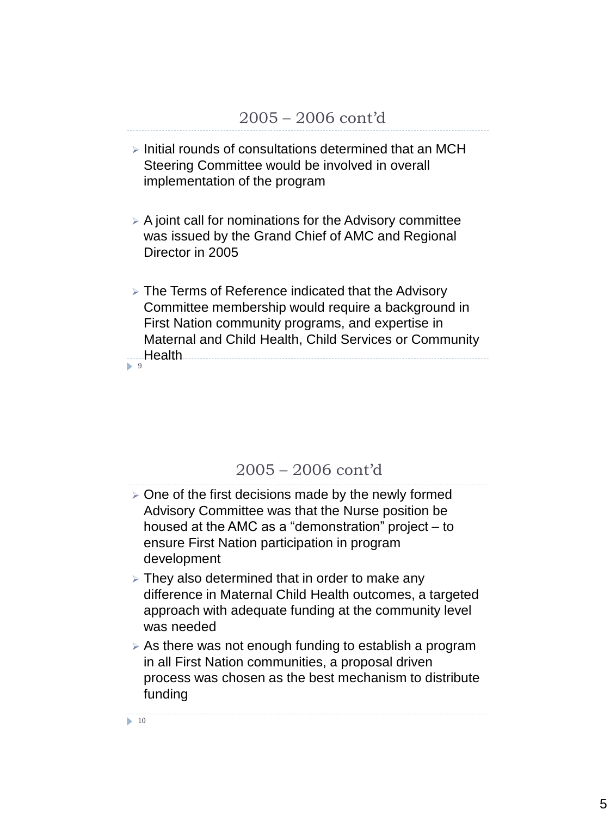- $\triangleright$  Initial rounds of consultations determined that an MCH Steering Committee would be involved in overall implementation of the program
- $\triangleright$  A joint call for nominations for the Advisory committee was issued by the Grand Chief of AMC and Regional Director in 2005
- $9$  $\triangleright$  The Terms of Reference indicated that the Advisory Committee membership would require a background in First Nation community programs, and expertise in Maternal and Child Health, Child Services or Community **Health** 2008 2017 2022 2023 2024 2022 2022 2023 2024 2022 2023 2024 2022 2023 2024 2022 2023 2024 2025 2026 20

#### 2005 – 2006 cont'd

- $\geq$  One of the first decisions made by the newly formed Advisory Committee was that the Nurse position be housed at the AMC as a "demonstration" project – to ensure First Nation participation in program development
- $\triangleright$  They also determined that in order to make any difference in Maternal Child Health outcomes, a targeted approach with adequate funding at the community level was needed
- $\geq$  As there was not enough funding to establish a program in all First Nation communities, a proposal driven process was chosen as the best mechanism to distribute funding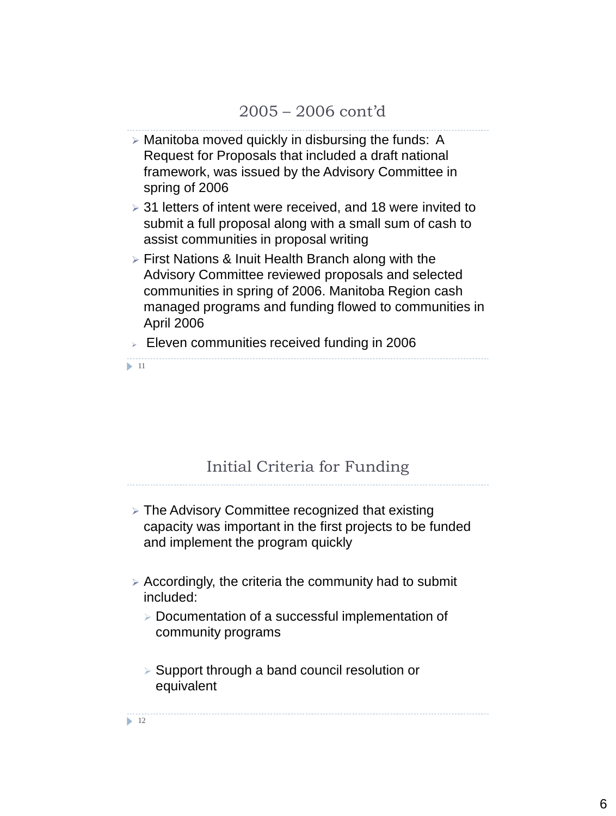- $\triangleright$  Manitoba moved quickly in disbursing the funds: A Request for Proposals that included a draft national framework, was issued by the Advisory Committee in spring of 2006
- 31 letters of intent were received, and 18 were invited to submit a full proposal along with a small sum of cash to assist communities in proposal writing
- First Nations & Inuit Health Branch along with the Advisory Committee reviewed proposals and selected communities in spring of 2006. Manitoba Region cash managed programs and funding flowed to communities in April 2006
- $\blacktriangleright$  11  $\triangleright$  Eleven communities received funding in 2006

# Initial Criteria for Funding

- The Advisory Committee recognized that existing capacity was important in the first projects to be funded and implement the program quickly
- $\triangleright$  Accordingly, the criteria the community had to submit included:
	- $\triangleright$  Documentation of a successful implementation of community programs
	- $\triangleright$  Support through a band council resolution or equivalent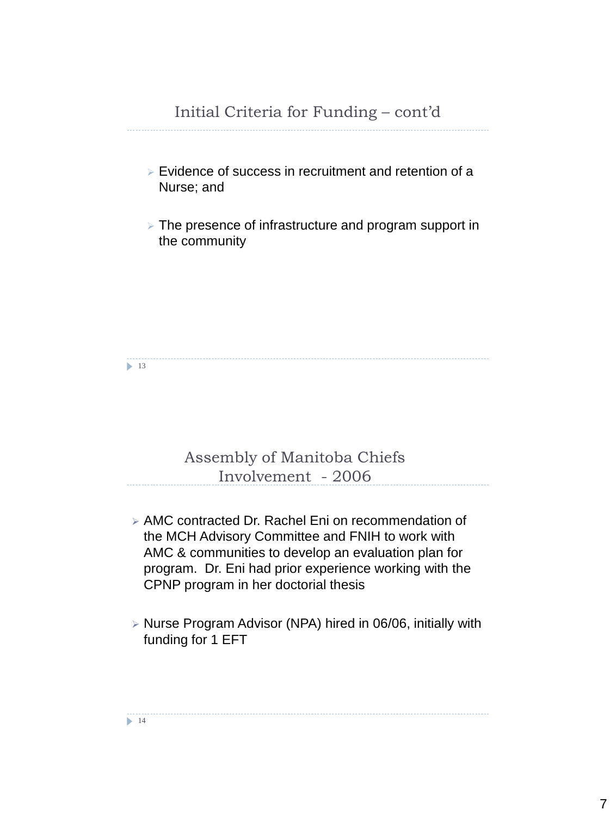- $\triangleright$  Evidence of success in recruitment and retention of a Nurse; and
- The presence of infrastructure and program support in the community

 $\blacktriangleright$  13

# Assembly of Manitoba Chiefs Involvement - 2006

- AMC contracted Dr. Rachel Eni on recommendation of the MCH Advisory Committee and FNIH to work with AMC & communities to develop an evaluation plan for program. Dr. Eni had prior experience working with the CPNP program in her doctorial thesis
- Nurse Program Advisor (NPA) hired in 06/06, initially with funding for 1 EFT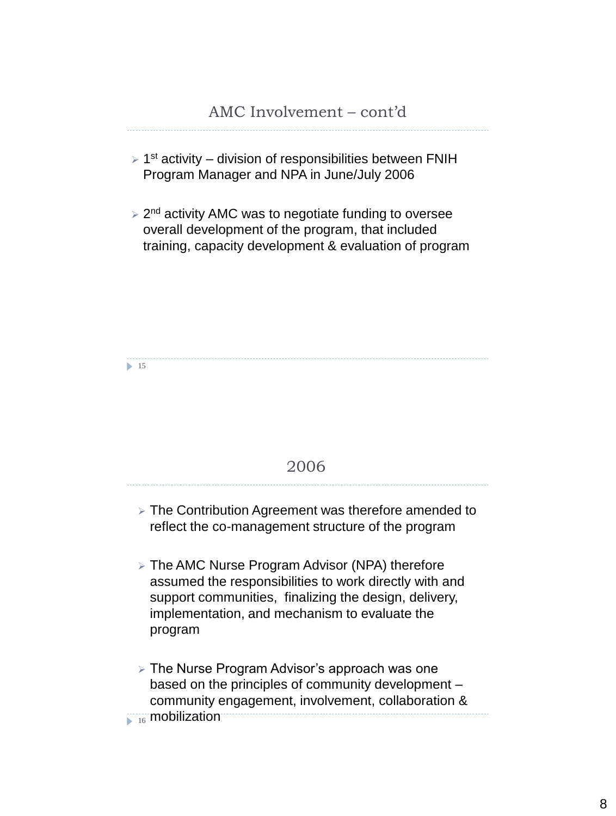- $\geq 1$ <sup>st</sup> activity division of responsibilities between FNIH Program Manager and NPA in June/July 2006
- ▶ 2<sup>nd</sup> activity AMC was to negotiate funding to oversee overall development of the program, that included training, capacity development & evaluation of program

 $\blacktriangleright$  15

#### 2006

- $\triangleright$  The Contribution Agreement was therefore amended to reflect the co-management structure of the program
- The AMC Nurse Program Advisor (NPA) therefore assumed the responsibilities to work directly with and support communities, finalizing the design, delivery, implementation, and mechanism to evaluate the program
- $\triangleright$  The Nurse Program Advisor's approach was one based on the principles of community development – community engagement, involvement, collaboration &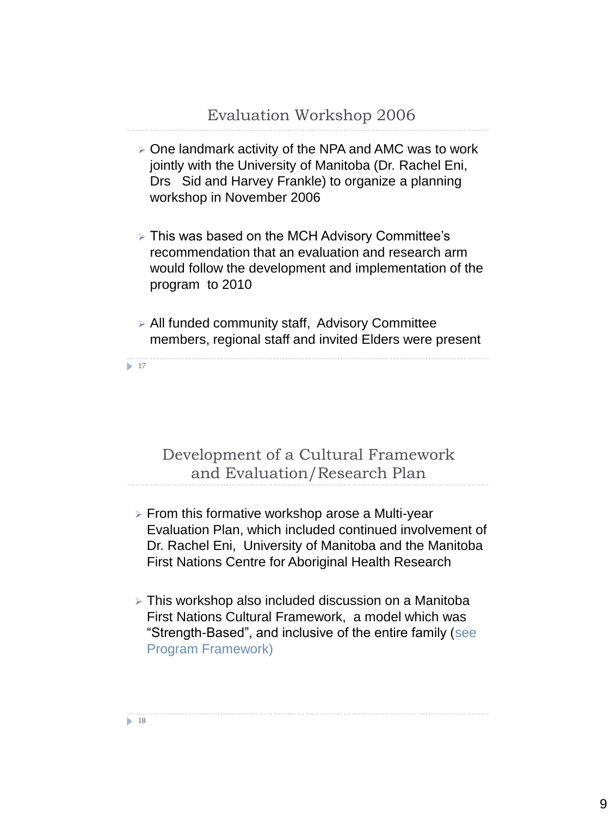- $\geq$  One landmark activity of the NPA and AMC was to work jointly with the University of Manitoba (Dr. Rachel Eni, Drs Sid and Harvey Frankle) to organize a planning workshop in November 2006
- This was based on the MCH Advisory Committee's recommendation that an evaluation and research arm would follow the development and implementation of the program to 2010
- All funded community staff, Advisory Committee members, regional staff and invited Elders were present

 $\blacktriangleright$  17

# Development of a Cultural Framework and Evaluation/Research Plan

- $\triangleright$  From this formative workshop arose a Multi-year Evaluation Plan, which included continued involvement of Dr. Rachel Eni, University of Manitoba and the Manitoba First Nations Centre for Aboriginal Health Research
- This workshop also included discussion on a Manitoba First Nations Cultural Framework, a model which was "Strength-Based", and inclusive of the entire family (see Program Framework)

9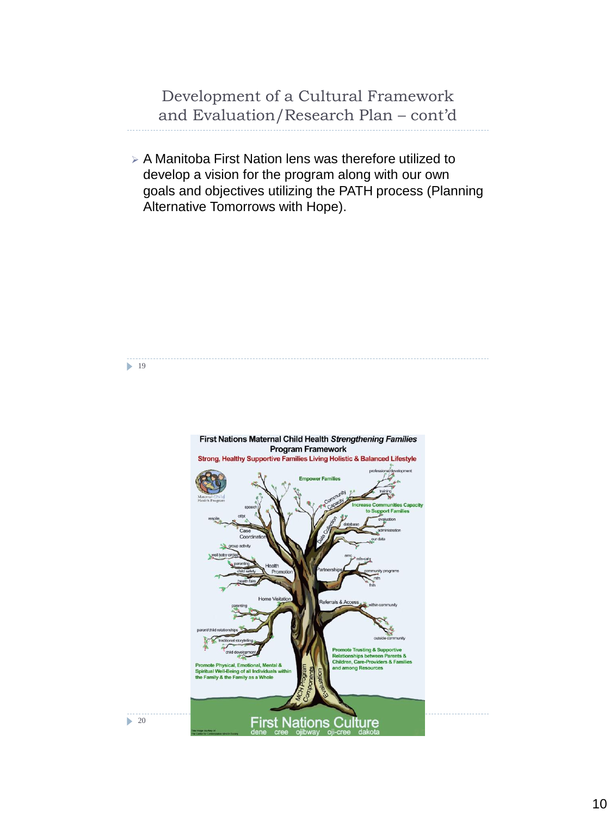Development of a Cultural Framework and Evaluation/Research Plan – cont'd

 $\triangleright$  A Manitoba First Nation lens was therefore utilized to develop a vision for the program along with our own goals and objectives utilizing the PATH process (Planning Alternative Tomorrows with Hope).

 $\blacktriangleright$  19

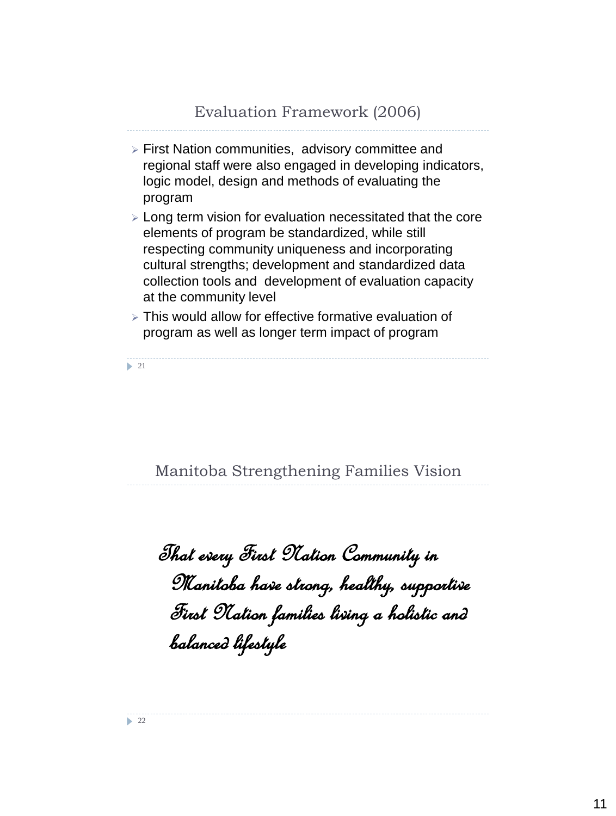- First Nation communities, advisory committee and regional staff were also engaged in developing indicators, logic model, design and methods of evaluating the program
- Long term vision for evaluation necessitated that the core elements of program be standardized, while still respecting community uniqueness and incorporating cultural strengths; development and standardized data collection tools and development of evaluation capacity at the community level
- This would allow for effective formative evaluation of program as well as longer term impact of program

 $\geq 21$ 

Manitoba Strengthening Families Vision

That every First Nation Community in Manitoba have strong, healthy, supportive First Nation families living a holistic and balanced lifestyle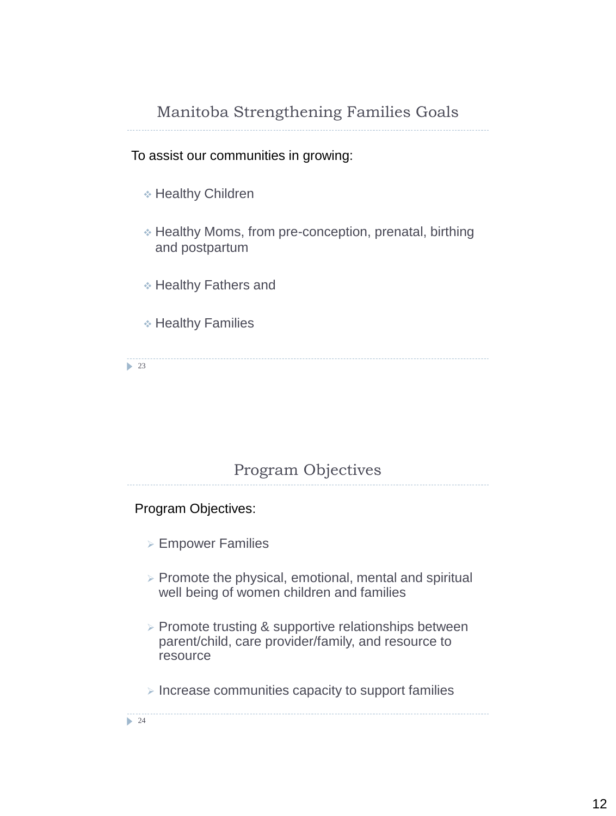# Manitoba Strengthening Families Goals

#### To assist our communities in growing:

- Healthy Children
- Healthy Moms, from pre-conception, prenatal, birthing and postpartum
- Healthy Fathers and
- Healthy Families

 $\geq 23$ 

#### Program Objectives

#### Program Objectives:

- Empower Families
- $\triangleright$  Promote the physical, emotional, mental and spiritual well being of women children and families
- $\triangleright$  Promote trusting & supportive relationships between parent/child, care provider/family, and resource to resource
- $\triangleright$  Increase communities capacity to support families

 $\geq 24$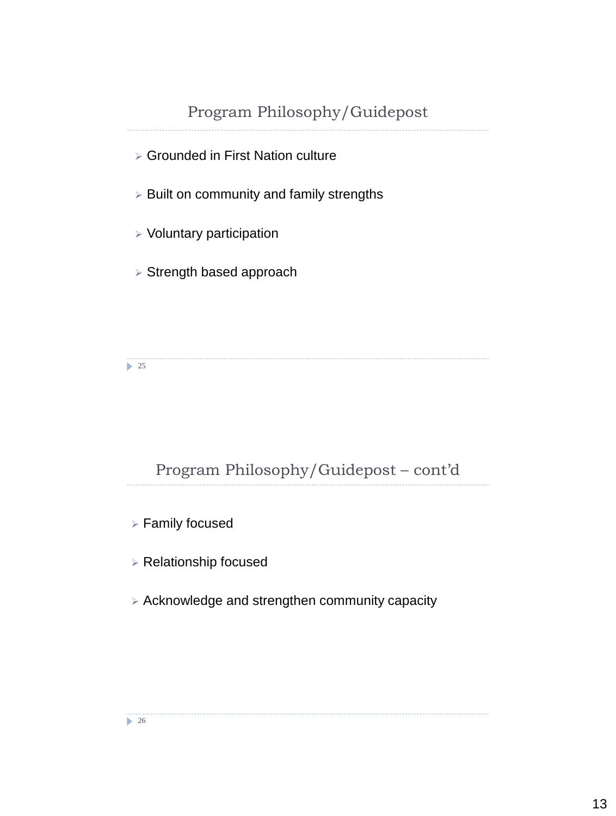# Program Philosophy/Guidepost Grounded in First Nation culture  $\triangleright$  Built on community and family strengths  $\triangleright$  Voluntary participation  $\triangleright$  Strength based approach

 $\geq 25$ 

# Program Philosophy/Guidepost – cont'd

Family focused

Relationship focused

Acknowledge and strengthen community capacity

 $\geq 26$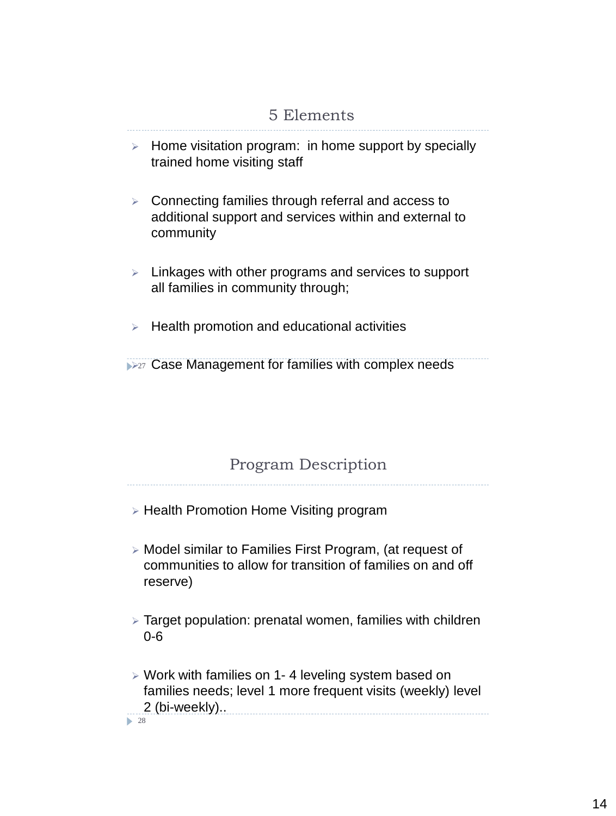# 5 Elements

- $\triangleright$  Home visitation program: in home support by specially trained home visiting staff
- $\triangleright$  Connecting families through referral and access to additional support and services within and external to community
- $\triangleright$  Linkages with other programs and services to support all families in community through;
- $\triangleright$  Health promotion and educational activities

**227 Case Management for families with complex needs** 

#### Program Description

- **Example 2 Health Promotion Home Visiting program**
- Model similar to Families First Program, (at request of communities to allow for transition of families on and off reserve)
- Target population: prenatal women, families with children 0-6
- Work with families on 1- 4 leveling system based on families needs; level 1 more frequent visits (weekly) level 2 (bi-weekly).. ▶ 28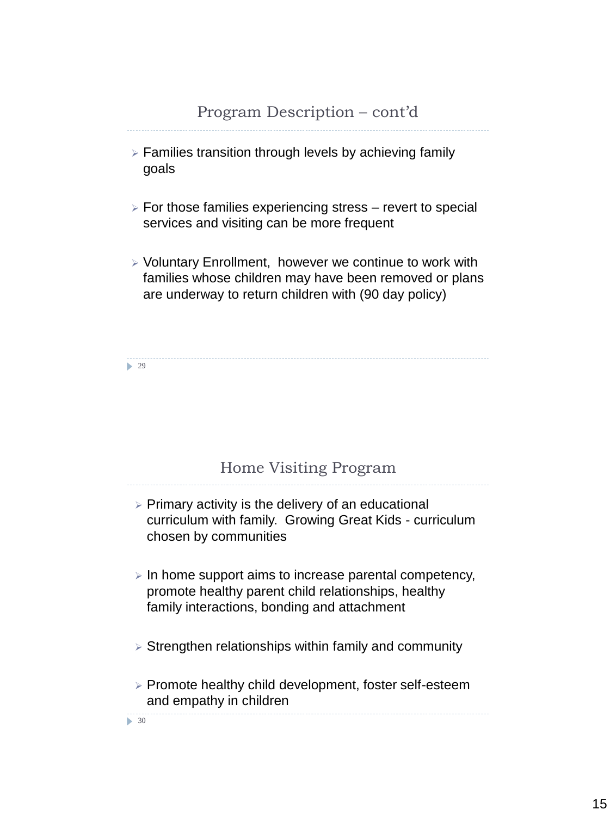- $\triangleright$  Families transition through levels by achieving family goals
- $\triangleright$  For those families experiencing stress revert to special services and visiting can be more frequent
- $\triangleright$  Voluntary Enrollment, however we continue to work with families whose children may have been removed or plans are underway to return children with (90 day policy)

29

#### Home Visiting Program

- $\triangleright$  Primary activity is the delivery of an educational curriculum with family. Growing Great Kids - curriculum chosen by communities
- $\triangleright$  In home support aims to increase parental competency, promote healthy parent child relationships, healthy family interactions, bonding and attachment
- $\triangleright$  Strengthen relationships within family and community
- Promote healthy child development, foster self-esteem and empathy in children

• 30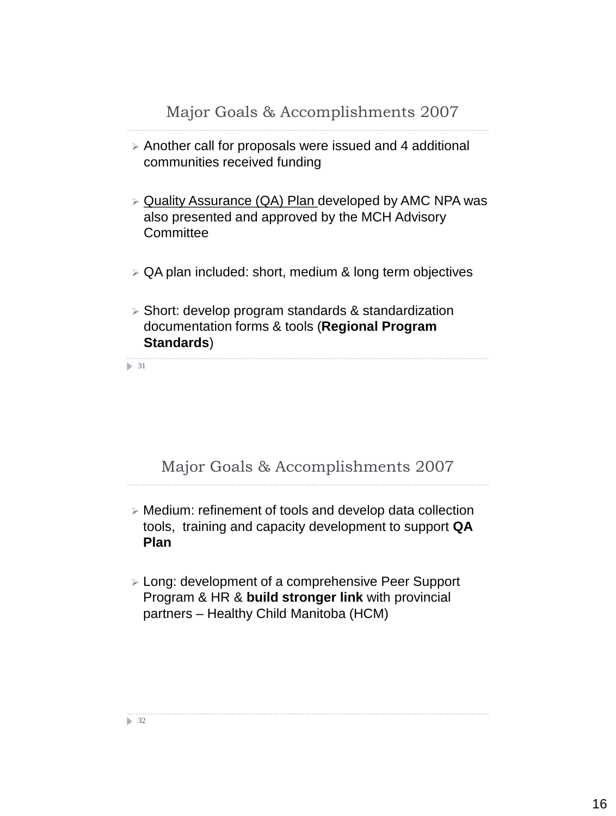- $\geq$  Another call for proposals were issued and 4 additional communities received funding
- $\triangleright$  Quality Assurance (QA) Plan developed by AMC NPA was also presented and approved by the MCH Advisory **Committee**
- $\triangleright$  QA plan included: short, medium & long term objectives
- $\triangleright$  Short: develop program standards & standardization documentation forms & tools (**Regional Program Standards**)

 $\blacktriangleright$  31

# Major Goals & Accomplishments 2007

- Medium: refinement of tools and develop data collection tools, training and capacity development to support **QA Plan**
- Long: development of a comprehensive Peer Support Program & HR & **build stronger link** with provincial partners – Healthy Child Manitoba (HCM)

 $\triangleright$  32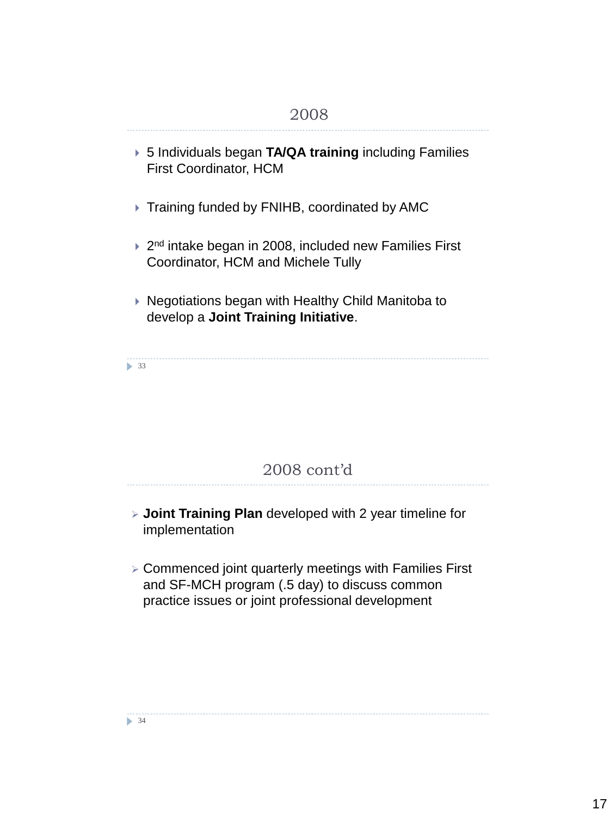- 5 Individuals began **TA/QA training** including Families First Coordinator, HCM
- ▶ Training funded by FNIHB, coordinated by AMC
- ▶ 2<sup>nd</sup> intake began in 2008, included new Families First Coordinator, HCM and Michele Tully
- ▶ Negotiations began with Healthy Child Manitoba to develop a **Joint Training Initiative**.

• 33

# 2008 cont'd

- **Joint Training Plan** developed with 2 year timeline for implementation
- Commenced joint quarterly meetings with Families First and SF-MCH program (.5 day) to discuss common practice issues or joint professional development

 $\triangleright$  34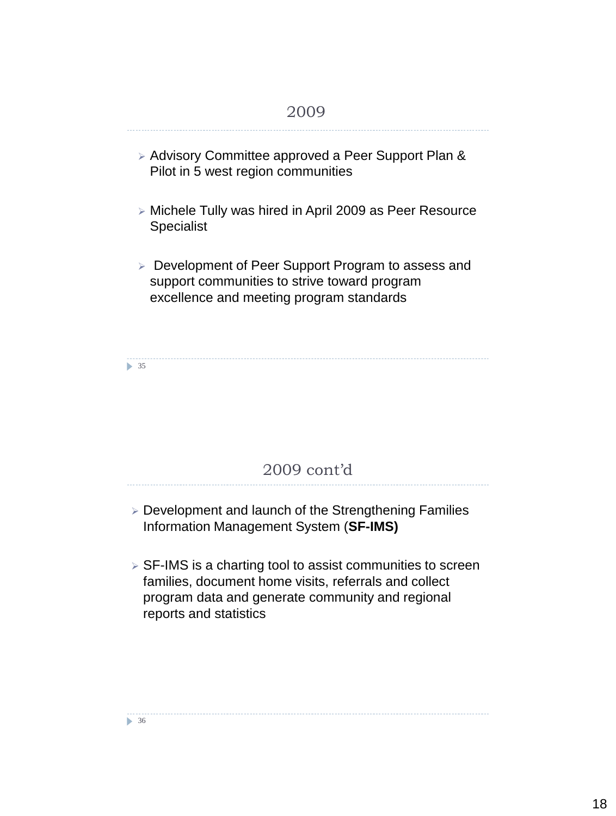# ▶ Advisory Committee approved a Peer Support Plan & Pilot in 5 west region communities Michele Tully was hired in April 2009 as Peer Resource **Specialist Development of Peer Support Program to assess and** support communities to strive toward program excellence and meeting program standards 2009

 $\triangleright$  35

# 2009 cont'd

- Development and launch of the Strengthening Families Information Management System (**SF-IMS)**
- **▶ SF-IMS is a charting tool to assist communities to screen** families, document home visits, referrals and collect program data and generate community and regional reports and statistics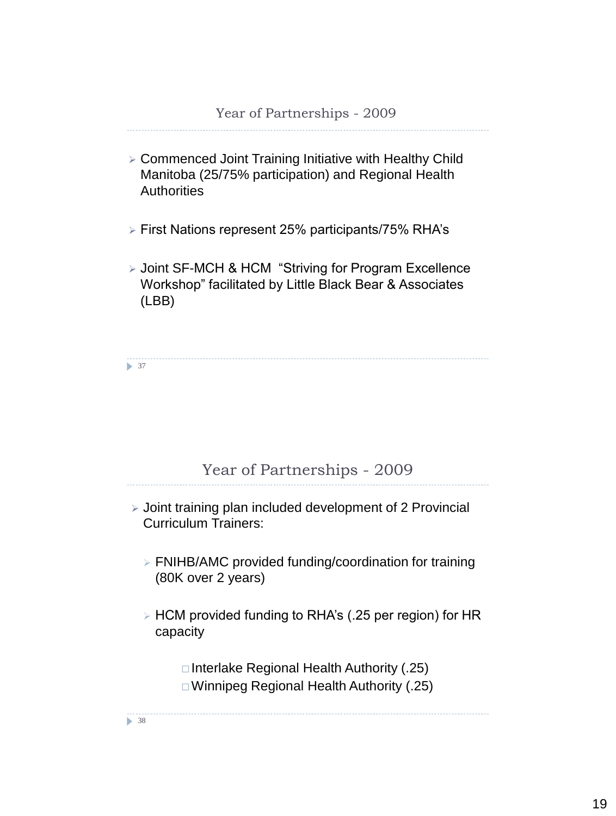- Commenced Joint Training Initiative with Healthy Child Manitoba (25/75% participation) and Regional Health **Authorities**
- First Nations represent 25% participants/75% RHA's
- Joint SF-MCH & HCM "Striving for Program Excellence Workshop" facilitated by Little Black Bear & Associates (LBB)

▶ 37

#### Year of Partnerships - 2009

- $\triangleright$  Joint training plan included development of 2 Provincial Curriculum Trainers:
	- FNIHB/AMC provided funding/coordination for training (80K over 2 years)
	- HCM provided funding to RHA's (.25 per region) for HR capacity

 $\Box$  Interlake Regional Health Authority (.25) Winnipeg Regional Health Authority (.25)

▶ 38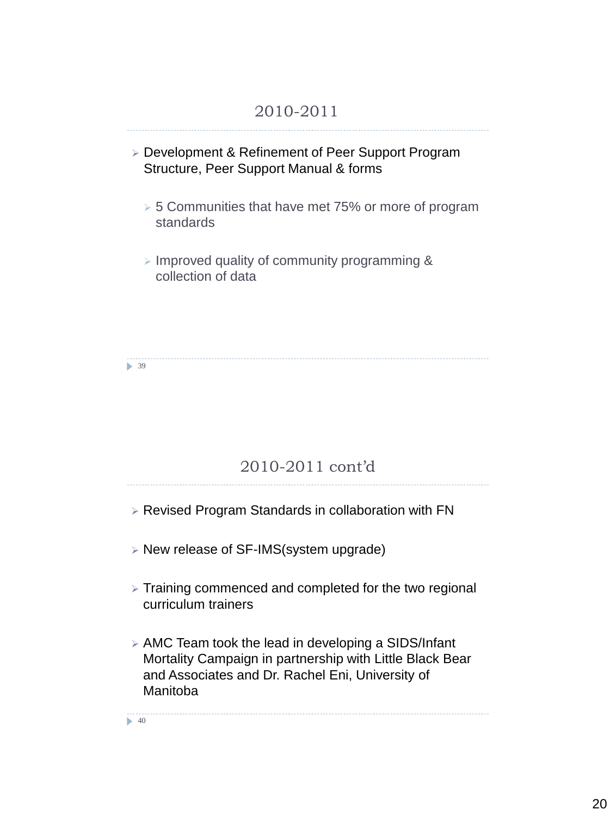#### 2010-2011

- Development & Refinement of Peer Support Program Structure, Peer Support Manual & forms
	- $>$  5 Communities that have met 75% or more of program standards
	- $\triangleright$  Improved quality of community programming & collection of data

▶ 39

#### 2010-2011 cont'd

- $\triangleright$  Revised Program Standards in collaboration with FN
- New release of SF-IMS(system upgrade)
- $\triangleright$  Training commenced and completed for the two regional curriculum trainers
- $\triangleright$  AMC Team took the lead in developing a SIDS/Infant Mortality Campaign in partnership with Little Black Bear and Associates and Dr. Rachel Eni, University of Manitoba

 $\blacktriangleright$  40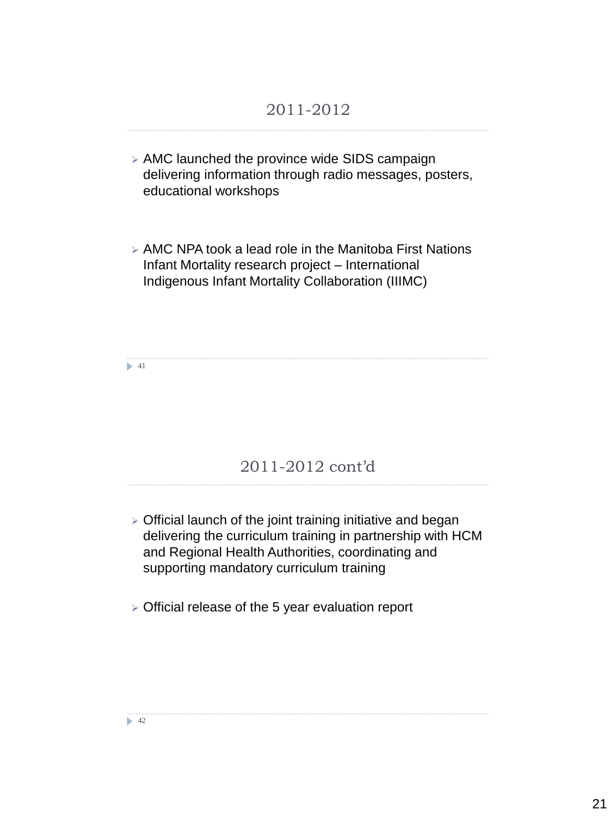#### 2011-2012

- $\triangleright$  AMC launched the province wide SIDS campaign delivering information through radio messages, posters, educational workshops
- $\triangleright$  AMC NPA took a lead role in the Manitoba First Nations Infant Mortality research project – International Indigenous Infant Mortality Collaboration (IIIMC)

 $\blacktriangleright$  41

#### 2011-2012 cont'd

 $\geq$  Official launch of the joint training initiative and began delivering the curriculum training in partnership with HCM and Regional Health Authorities, coordinating and supporting mandatory curriculum training

 $\triangleright$  Official release of the 5 year evaluation report

 $\blacktriangleright$  42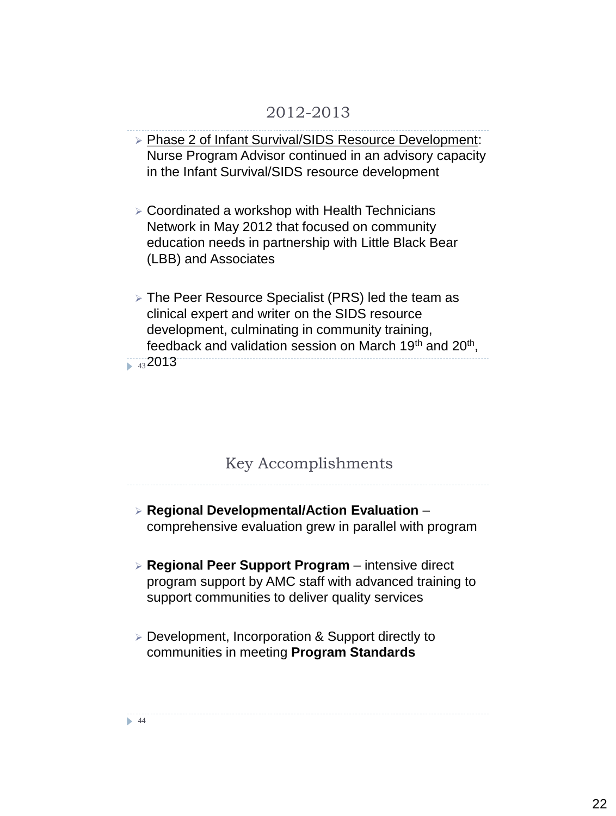#### 2012-2013

- Phase 2 of Infant Survival/SIDS Resource Development: Nurse Program Advisor continued in an advisory capacity in the Infant Survival/SIDS resource development
- Coordinated a workshop with Health Technicians Network in May 2012 that focused on community education needs in partnership with Little Black Bear (LBB) and Associates
- The Peer Resource Specialist (PRS) led the team as clinical expert and writer on the SIDS resource development, culminating in community training, feedback and validation session on March 19<sup>th</sup> and 20<sup>th</sup>,  $\frac{1}{43}2013$

#### Key Accomplishments

- **Regional Developmental/Action Evaluation**  comprehensive evaluation grew in parallel with program
- **Regional Peer Support Program**  intensive direct program support by AMC staff with advanced training to support communities to deliver quality services
- Development, Incorporation & Support directly to communities in meeting **Program Standards**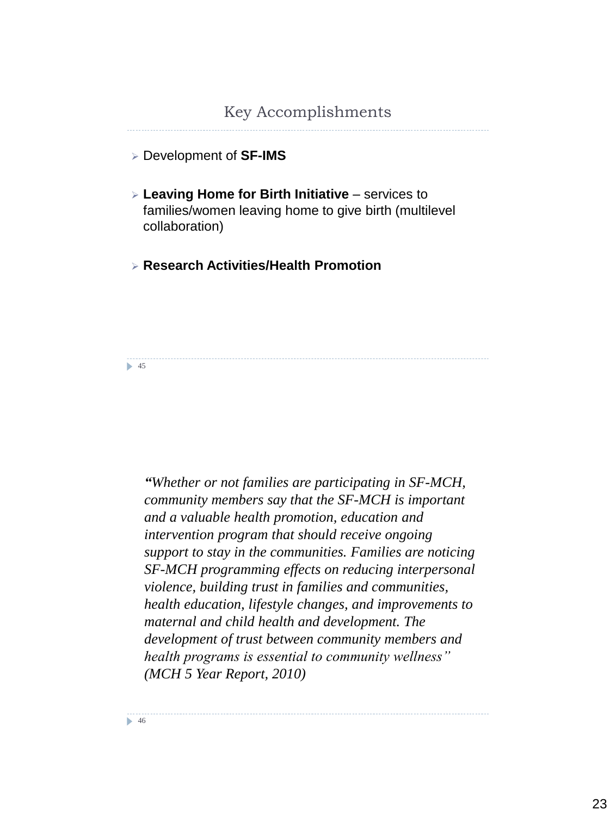#### Key Accomplishments

Development of **SF-IMS**

- **Leaving Home for Birth Initiative**  services to families/women leaving home to give birth (multilevel collaboration)
- **Research Activities/Health Promotion**

**15** 

*"Whether or not families are participating in SF-MCH, community members say that the SF-MCH is important and a valuable health promotion, education and intervention program that should receive ongoing support to stay in the communities. Families are noticing SF-MCH programming effects on reducing interpersonal violence, building trust in families and communities, health education, lifestyle changes, and improvements to maternal and child health and development. The development of trust between community members and health programs is essential to community wellness" (MCH 5 Year Report, 2010)*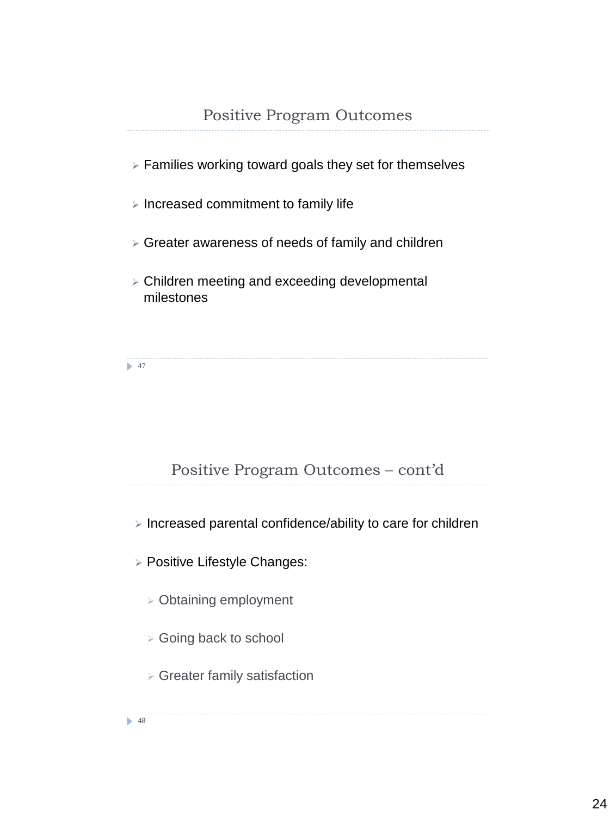- $\triangleright$  Families working toward goals they set for themselves
- $\triangleright$  Increased commitment to family life
- $\triangleright$  Greater awareness of needs of family and children
- Children meeting and exceeding developmental milestones

 $\blacktriangleright$  47

# Positive Program Outcomes – cont'd

 $\triangleright$  Increased parental confidence/ability to care for children

- **> Positive Lifestyle Changes:** 
	- Obtaining employment
	- Going back to school
	- Greater family satisfaction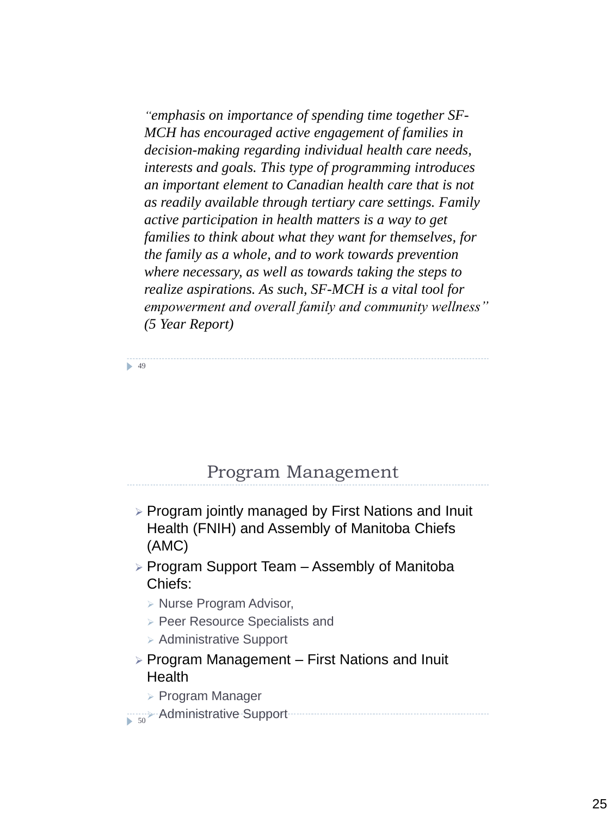*"emphasis on importance of spending time together SF-MCH has encouraged active engagement of families in decision-making regarding individual health care needs, interests and goals. This type of programming introduces an important element to Canadian health care that is not as readily available through tertiary care settings. Family active participation in health matters is a way to get families to think about what they want for themselves, for the family as a whole, and to work towards prevention where necessary, as well as towards taking the steps to realize aspirations. As such, SF-MCH is a vital tool for empowerment and overall family and community wellness" (5 Year Report)*

**49** 

# Program Management

- Program jointly managed by First Nations and Inuit Health (FNIH) and Assembly of Manitoba Chiefs (AMC)
- $\triangleright$  Program Support Team Assembly of Manitoba Chiefs:
	- $\triangleright$  Nurse Program Advisor,
	- Peer Resource Specialists and
	- $\triangleright$  Administrative Support
- $\triangleright$  Program Management First Nations and Inuit **Health** 
	- Program Manager
- $\Rightarrow$  Administrative Support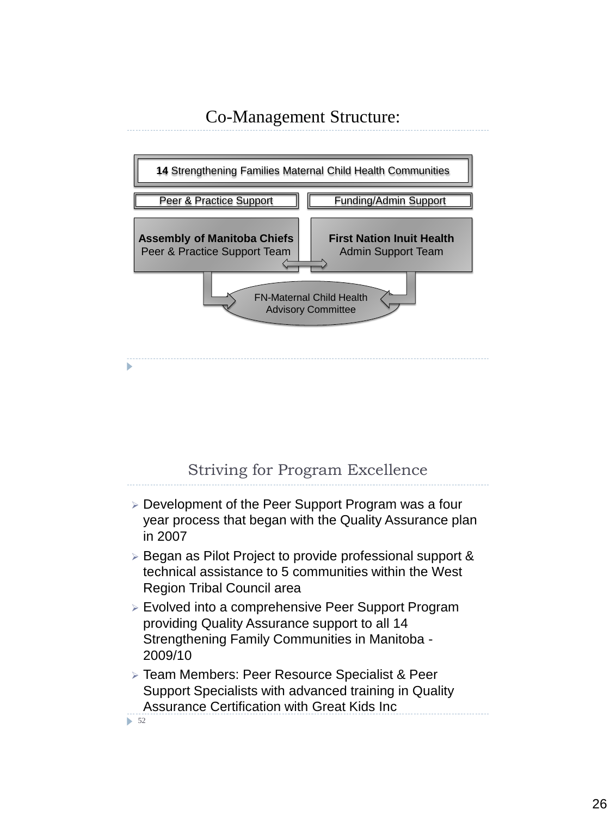

#### Striving for Program Excellence

- Development of the Peer Support Program was a four year process that began with the Quality Assurance plan in 2007
- $\triangleright$  Began as Pilot Project to provide professional support & technical assistance to 5 communities within the West Region Tribal Council area
- Evolved into a comprehensive Peer Support Program providing Quality Assurance support to all 14 Strengthening Family Communities in Manitoba - 2009/10
- Team Members: Peer Resource Specialist & Peer Support Specialists with advanced training in Quality Assurance Certification with Great Kids Inc

 $\triangleright$  52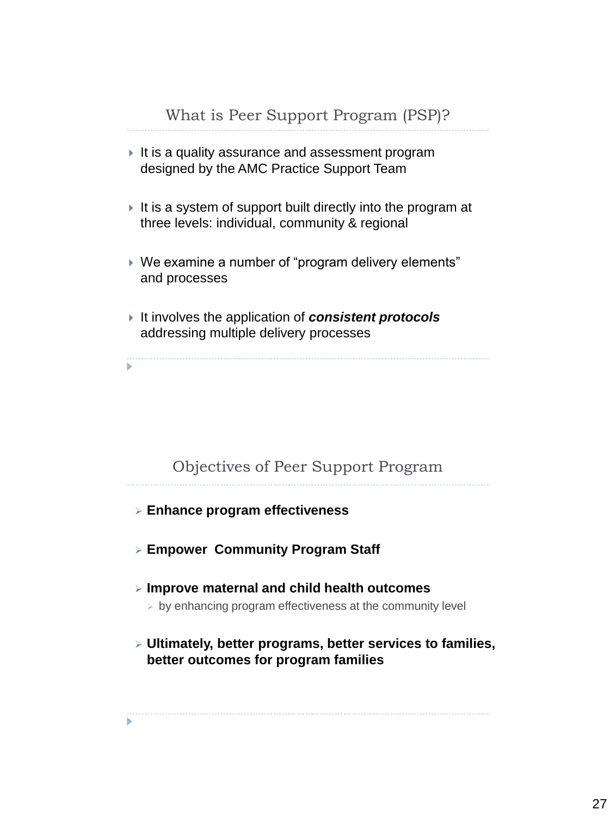- $\blacktriangleright$  It is a quality assurance and assessment program designed by the AMC Practice Support Team
- $\blacktriangleright$  It is a system of support built directly into the program at three levels: individual, community & regional
- We examine a number of "program delivery elements" and processes
- It involves the application of *consistent protocols*  addressing multiple delivery processes

ь

#### Objectives of Peer Support Program

- 
- **Enhance program effectiveness**
- **Empower Community Program Staff**
- **Improve maternal and child health outcomes**
	- by enhancing program effectiveness at the community level
- **Ultimately, better programs, better services to families, better outcomes for program families**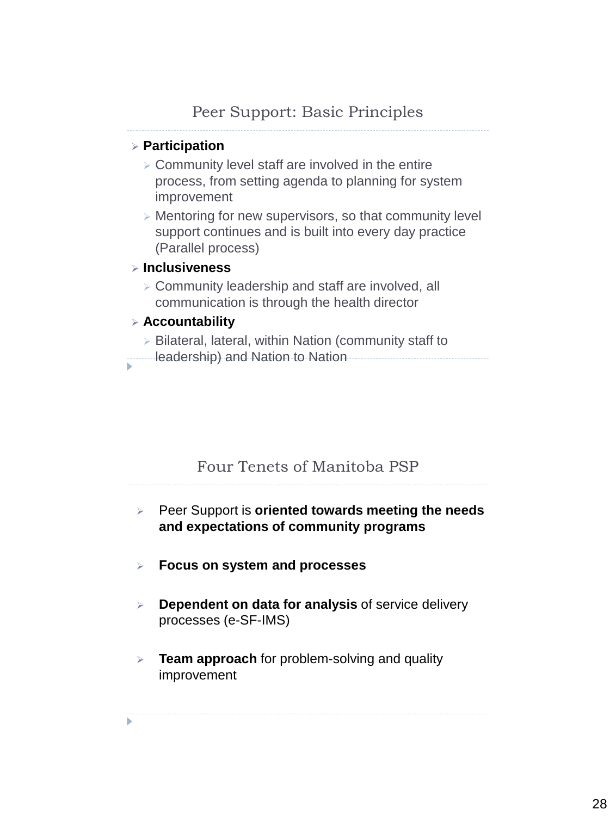#### **Participation**

- $\geq$  Community level staff are involved in the entire process, from setting agenda to planning for system improvement
- Mentoring for new supervisors, so that community level support continues and is built into every day practice (Parallel process)

#### **Inclusiveness**

 Community leadership and staff are involved, all communication is through the health director

#### **Accountability**

 $\triangleright$  Bilateral, lateral, within Nation (community staff to **leadership) and Nation to Nation**<br>**Mation** 

# Four Tenets of Manitoba PSP

Peer Support is **oriented towards meeting the needs** 

**and expectations of community programs**

- 
- **Focus on system and processes**
- **Dependent on data for analysis** of service delivery processes (e-SF-IMS)
- **Team approach** for problem-solving and quality improvement

ь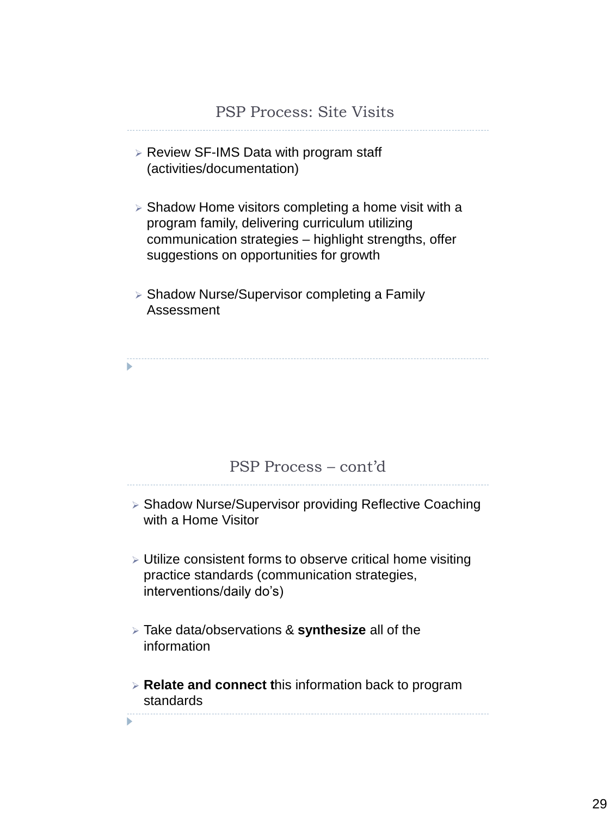#### PSP Process: Site Visits

- $\triangleright$  Review SF-IMS Data with program staff (activities/documentation)
- $\triangleright$  Shadow Home visitors completing a home visit with a program family, delivering curriculum utilizing communication strategies – highlight strengths, offer suggestions on opportunities for growth
- Shadow Nurse/Supervisor completing a Family Assessment

ь

#### PSP Process – cont'd

- Shadow Nurse/Supervisor providing Reflective Coaching with a Home Visitor
- Utilize consistent forms to observe critical home visiting practice standards (communication strategies, interventions/daily do's)
- Take data/observations & **synthesize** all of the information

ь

 **Relate and connect t**his information back to program standards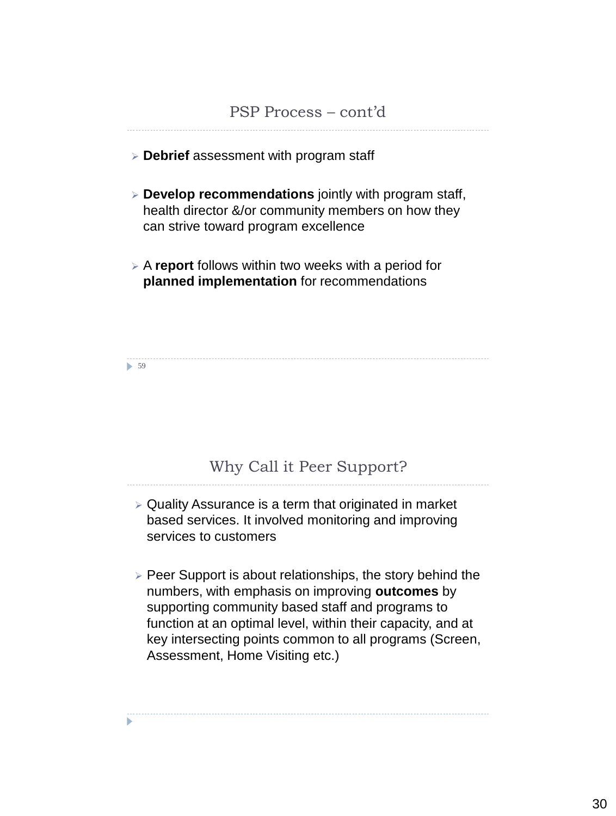#### PSP Process – cont'd

- **Debrief** assessment with program staff
- **Develop recommendations** jointly with program staff, health director &/or community members on how they can strive toward program excellence
- A **report** follows within two weeks with a period for **planned implementation** for recommendations

• 59

# Why Call it Peer Support?

- $\triangleright$  Quality Assurance is a term that originated in market based services. It involved monitoring and improving services to customers
- $\triangleright$  Peer Support is about relationships, the story behind the numbers, with emphasis on improving **outcomes** by supporting community based staff and programs to function at an optimal level, within their capacity, and at key intersecting points common to all programs (Screen, Assessment, Home Visiting etc.)

ь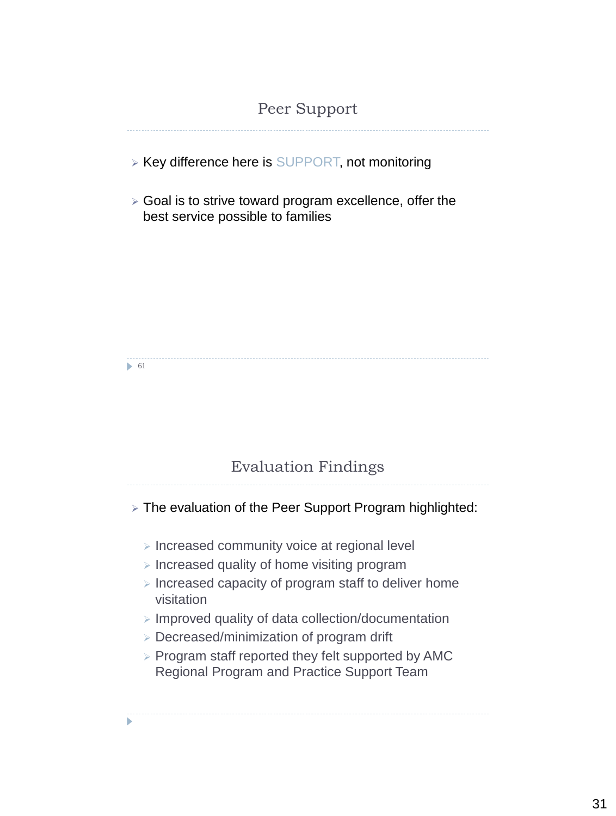#### Peer Support

- $\triangleright$  Key difference here is SUPPORT, not monitoring
- $\triangleright$  Goal is to strive toward program excellence, offer the best service possible to families

 $\triangleright$  61

# Evaluation Findings

> The evaluation of the Peer Support Program highlighted:

- $\triangleright$  Increased community voice at regional level
- $\triangleright$  Increased quality of home visiting program
- $\triangleright$  Increased capacity of program staff to deliver home visitation
- $\triangleright$  Improved quality of data collection/documentation
- Decreased/minimization of program drift
- $\triangleright$  Program staff reported they felt supported by AMC Regional Program and Practice Support Team

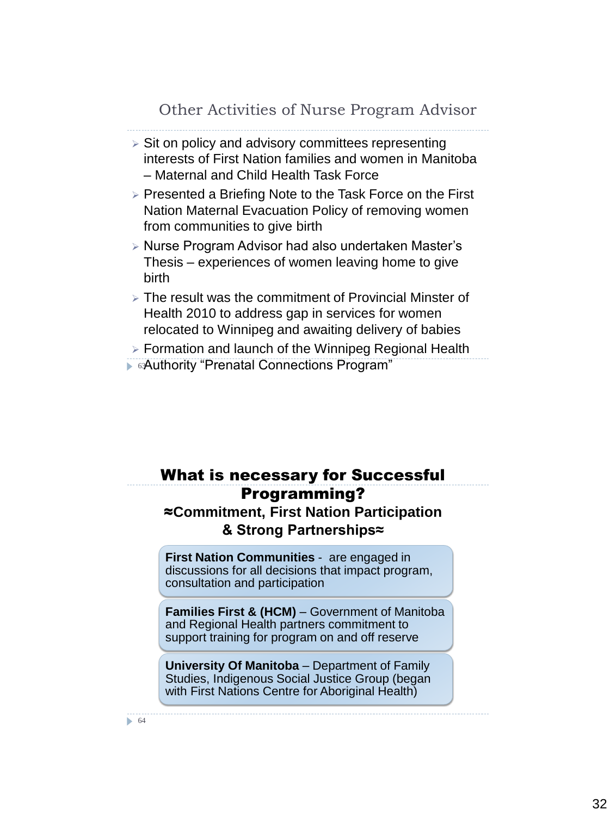Other Activities of Nurse Program Advisor

- $\triangleright$  Sit on policy and advisory committees representing interests of First Nation families and women in Manitoba – Maternal and Child Health Task Force
- $\triangleright$  Presented a Briefing Note to the Task Force on the First Nation Maternal Evacuation Policy of removing women from communities to give birth
- Nurse Program Advisor had also undertaken Master's Thesis – experiences of women leaving home to give birth
- $\triangleright$  The result was the commitment of Provincial Minster of Health 2010 to address gap in services for women relocated to Winnipeg and awaiting delivery of babies

 Formation and launch of the Winnipeg Regional Health **Authority "Prenatal Connections Program"** 

# What is necessary for Successful Programming? ≈**Commitment, First Nation Participation**

#### **& Strong Partnerships≈**

**First Nation Communities** - are engaged in discussions for all decisions that impact program, consultation and participation

**Families First & (HCM)** – Government of Manitoba and Regional Health partners commitment to support training for program on and off reserve

**University Of Manitoba** – Department of Family Studies, Indigenous Social Justice Group (began with First Nations Centre for Aboriginal Health)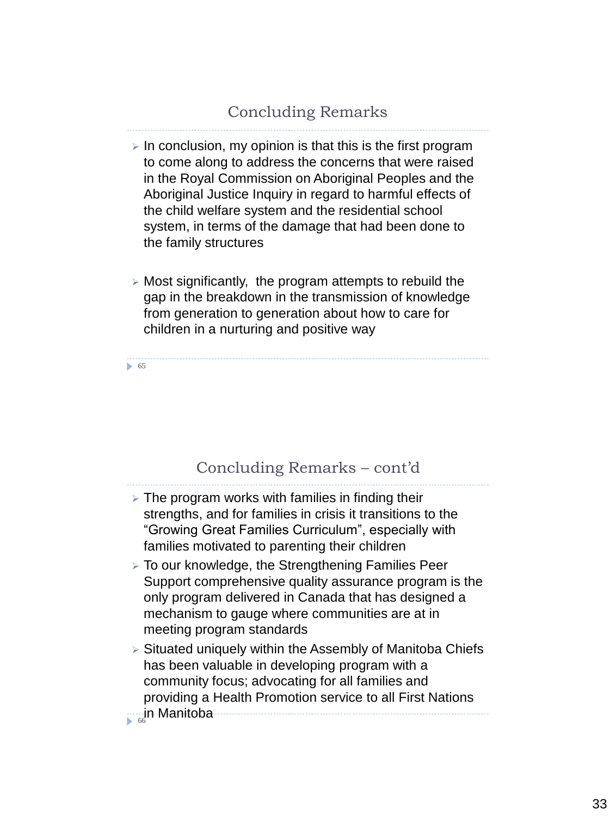- $\triangleright$  In conclusion, my opinion is that this is the first program to come along to address the concerns that were raised in the Royal Commission on Aboriginal Peoples and the Aboriginal Justice Inquiry in regard to harmful effects of the child welfare system and the residential school system, in terms of the damage that had been done to the family structures
- $\triangleright$  Most significantly, the program attempts to rebuild the gap in the breakdown in the transmission of knowledge from generation to generation about how to care for children in a nurturing and positive way

65

#### Concluding Remarks – cont'd

- $\geq$  The program works with families in finding their strengths, and for families in crisis it transitions to the "Growing Great Families Curriculum", especially with families motivated to parenting their children
- To our knowledge, the Strengthening Families Peer Support comprehensive quality assurance program is the only program delivered in Canada that has designed a mechanism to gauge where communities are at in meeting program standards
- Situated uniquely within the Assembly of Manitoba Chiefs has been valuable in developing program with a community focus; advocating for all families and providing a Health Promotion service to all First Nations

 $\frac{1}{66}$ Manitoba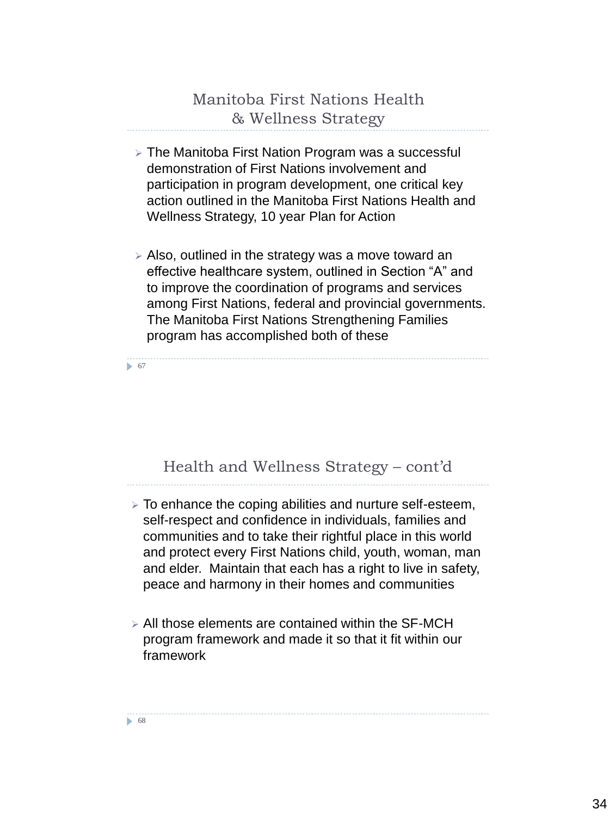# Manitoba First Nations Health & Wellness Strategy

- The Manitoba First Nation Program was a successful demonstration of First Nations involvement and participation in program development, one critical key action outlined in the Manitoba First Nations Health and Wellness Strategy, 10 year Plan for Action
- Also, outlined in the strategy was a move toward an effective healthcare system, outlined in Section "A" and to improve the coordination of programs and services among First Nations, federal and provincial governments. The Manitoba First Nations Strengthening Families program has accomplished both of these

• 67

# Health and Wellness Strategy – cont'd

- To enhance the coping abilities and nurture self-esteem, self-respect and confidence in individuals, families and communities and to take their rightful place in this world and protect every First Nations child, youth, woman, man and elder. Maintain that each has a right to live in safety, peace and harmony in their homes and communities
- All those elements are contained within the SF-MCH program framework and made it so that it fit within our framework